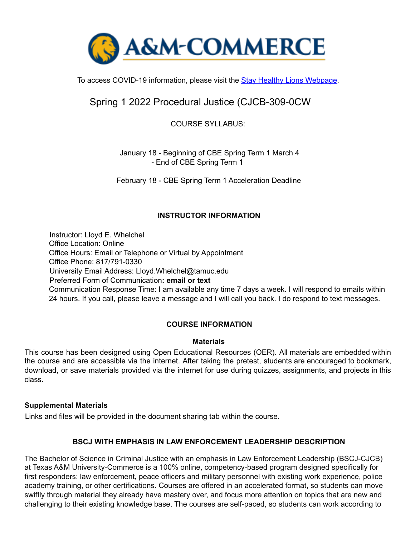

To access COVID-19 information, please visit the Stay Healthy Lions Webpage.

# Spring 1 2022 Procedural Justice (CJCB-309-0CW

COURSE SYLLABUS:

January 18 - Beginning of CBE Spring Term 1 March 4 - End of CBE Spring Term 1

February 18 - CBE Spring Term 1 Acceleration Deadline

## **INSTRUCTOR INFORMATION**

Instructor: Lloyd E. Whelchel Office Location: Online Office Hours: Email or Telephone or Virtual by Appointment Office Phone: 817/791-0330 University Email Address: Lloyd.Whelchel@tamuc.edu Preferred Form of Communication**: email or text** Communication Response Time: I am available any time 7 days a week. I will respond to emails within 24 hours. If you call, please leave a message and I will call you back. I do respond to text messages.

## **COURSE INFORMATION**

### **Materials**

This course has been designed using Open Educational Resources (OER). All materials are embedded within the course and are accessible via the internet. After taking the pretest, students are encouraged to bookmark, download, or save materials provided via the internet for use during quizzes, assignments, and projects in this class.

### **Supplemental Materials**

Links and files will be provided in the document sharing tab within the course.

### **BSCJ WITH EMPHASIS IN LAW ENFORCEMENT LEADERSHIP DESCRIPTION**

The Bachelor of Science in Criminal Justice with an emphasis in Law Enforcement Leadership (BSCJ-CJCB) at Texas A&M University-Commerce is a 100% online, competency-based program designed specifically for first responders: law enforcement, peace officers and military personnel with existing work experience, police academy training, or other certifications. Courses are offered in an accelerated format, so students can move swiftly through material they already have mastery over, and focus more attention on topics that are new and challenging to their existing knowledge base. The courses are self-paced, so students can work according to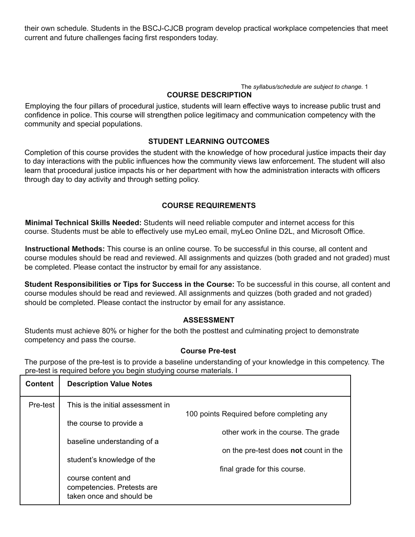their own schedule. Students in the BSCJ-CJCB program develop practical workplace competencies that meet current and future challenges facing first responders today.

The *syllabus/schedule are subject to change.* 1

### **COURSE DESCRIPTION**

Employing the four pillars of procedural justice, students will learn effective ways to increase public trust and confidence in police. This course will strengthen police legitimacy and communication competency with the community and special populations.

### **STUDENT LEARNING OUTCOMES**

Completion of this course provides the student with the knowledge of how procedural justice impacts their day to day interactions with the public influences how the community views law enforcement. The student will also learn that procedural justice impacts his or her department with how the administration interacts with officers through day to day activity and through setting policy.

## **COURSE REQUIREMENTS**

**Minimal Technical Skills Needed:** Students will need reliable computer and internet access for this course. Students must be able to effectively use myLeo email, myLeo Online D2L, and Microsoft Office.

**Instructional Methods:** This course is an online course. To be successful in this course, all content and course modules should be read and reviewed. All assignments and quizzes (both graded and not graded) must be completed. Please contact the instructor by email for any assistance.

**Student Responsibilities or Tips for Success in the Course:** To be successful in this course, all content and course modules should be read and reviewed. All assignments and quizzes (both graded and not graded) should be completed. Please contact the instructor by email for any assistance.

### **ASSESSMENT**

Students must achieve 80% or higher for the both the posttest and culminating project to demonstrate competency and pass the course.

### **Course Pre-test**

The purpose of the pre-test is to provide a baseline understanding of your knowledge in this competency. The pre-test is required before you begin studying course materials. I

| <b>Content</b> | <b>Description Value Notes</b>                         |                                              |
|----------------|--------------------------------------------------------|----------------------------------------------|
| Pre-test       | This is the initial assessment in                      |                                              |
|                | the course to provide a                                | 100 points Required before completing any    |
|                |                                                        | other work in the course. The grade          |
|                | baseline understanding of a                            | on the pre-test does <b>not</b> count in the |
|                | student's knowledge of the                             |                                              |
|                |                                                        | final grade for this course.                 |
|                | course content and                                     |                                              |
|                | competencies. Pretests are<br>taken once and should be |                                              |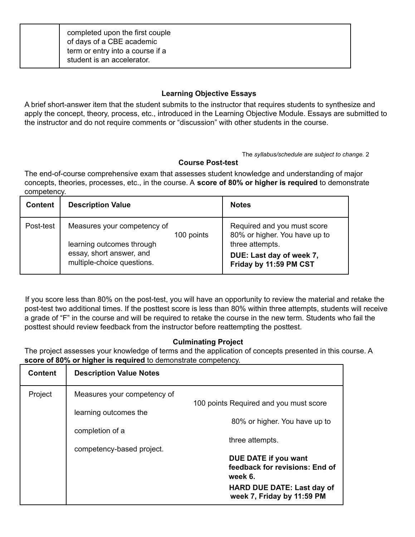| completed upon the first couple<br>of days of a CBE academic<br>term or entry into a course if a<br>student is an accelerator. |
|--------------------------------------------------------------------------------------------------------------------------------|
|--------------------------------------------------------------------------------------------------------------------------------|

## **Learning Objective Essays**

A brief short-answer item that the student submits to the instructor that requires students to synthesize and apply the concept, theory, process, etc., introduced in the Learning Objective Module. Essays are submitted to the instructor and do not require comments or "discussion" with other students in the course.

#### The *syllabus/schedule are subject to change.* 2

### **Course Post-test**

The end-of-course comprehensive exam that assesses student knowledge and understanding of major concepts, theories, processes, etc., in the course. A **score of 80% or higher is required** to demonstrate competency.

| <b>Content</b> | <b>Description Value</b>                                                                                                         | <b>Notes</b>                                                                                                                          |
|----------------|----------------------------------------------------------------------------------------------------------------------------------|---------------------------------------------------------------------------------------------------------------------------------------|
| Post-test      | Measures your competency of<br>100 points<br>learning outcomes through<br>essay, short answer, and<br>multiple-choice questions. | Required and you must score<br>80% or higher. You have up to<br>three attempts.<br>DUE: Last day of week 7,<br>Friday by 11:59 PM CST |

If you score less than 80% on the post-test, you will have an opportunity to review the material and retake the post-test two additional times. If the posttest score is less than 80% within three attempts, students will receive a grade of "F" in the course and will be required to retake the course in the new term. Students who fail the posttest should review feedback from the instructor before reattempting the posttest.

### **Culminating Project**

The project assesses your knowledge of terms and the application of concepts presented in this course. A **score of 80% or higher is required** to demonstrate competency.

| <b>Content</b> | <b>Description Value Notes</b>                                                                                                       |
|----------------|--------------------------------------------------------------------------------------------------------------------------------------|
| Project        | Measures your competency of<br>100 points Required and you must score                                                                |
|                | learning outcomes the<br>80% or higher. You have up to<br>completion of a                                                            |
|                | three attempts.<br>competency-based project.                                                                                         |
|                | DUE DATE if you want<br>feedback for revisions: End of<br>week 6.<br><b>HARD DUE DATE: Last day of</b><br>week 7, Friday by 11:59 PM |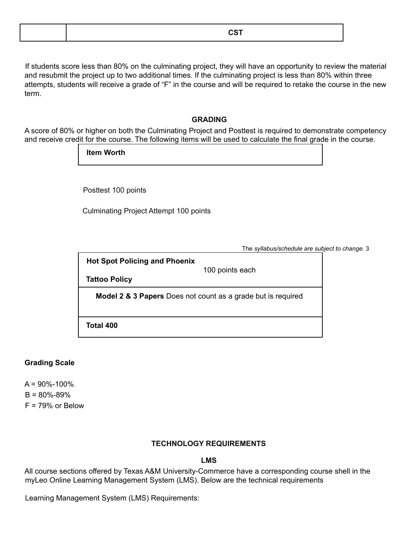| _____ |
|-------|
|-------|

If students score less than 80% on the culminating project, they will have an opportunity to review the material and resubmit the project up to two additional times. If the culminating project is less than 80% within three attempts, students will receive a grade of "F" in the course and will be required to retake the course in the new term.

#### **GRADING**

A score of 80% or higher on both the Culminating Project and Posttest is required to demonstrate competency and receive credit for the course. The following items will be used to calculate the final grade in the course.

**Item Worth**

Posttest 100 points

Culminating Project Attempt 100 points

The *syllabus/schedule are subject to change.* 3

**Hot Spot Policing and Phoenix**

100 points each

**Tattoo Policy**

**Model 2 & 3 Papers** Does not count as a grade but is required

**Total 400**

### **Grading Scale**

 $A = 90\% - 100\%$  $B = 80\% - 89\%$  $F = 79%$  or Below

### **TECHNOLOGY REQUIREMENTS**

**LMS**

All course sections offered by Texas A&M University-Commerce have a corresponding course shell in the myLeo Online Learning Management System (LMS). Below are the technical requirements

Learning Management System (LMS) Requirements: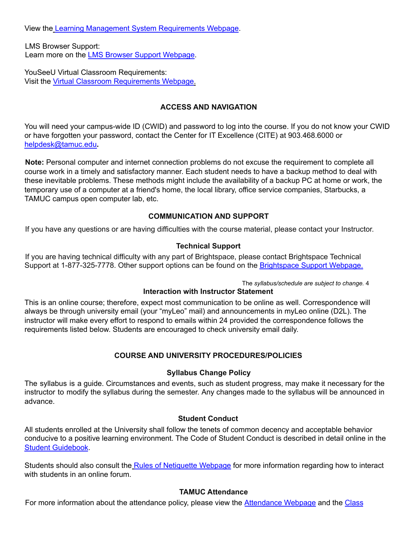View the Learning Management System Requirements Webpage.

LMS Browser Support: Learn more on the LMS Browser Support Webpage.

YouSeeU Virtual Classroom Requirements: Visit the Virtual Classroom Requirements Webpage.

## **ACCESS AND NAVIGATION**

You will need your campus-wide ID (CWID) and password to log into the course. If you do not know your CWID or have forgotten your password, contact the Center for IT Excellence (CITE) at 903.468.6000 or helpdesk@tamuc.edu**.**

**Note:** Personal computer and internet connection problems do not excuse the requirement to complete all course work in a timely and satisfactory manner. Each student needs to have a backup method to deal with these inevitable problems. These methods might include the availability of a backup PC at home or work, the temporary use of a computer at a friend's home, the local library, office service companies, Starbucks, a TAMUC campus open computer lab, etc.

## **COMMUNICATION AND SUPPORT**

If you have any questions or are having difficulties with the course material, please contact your Instructor.

### **Technical Support**

If you are having technical difficulty with any part of Brightspace, please contact Brightspace Technical Support at 1-877-325-7778. Other support options can be found on the Brightspace Support Webpage.

The *syllabus/schedule are subject to change.* 4

### **Interaction with Instructor Statement**

This is an online course; therefore, expect most communication to be online as well. Correspondence will always be through university email (your "myLeo" mail) and announcements in myLeo online (D2L). The instructor will make every effort to respond to emails within 24 provided the correspondence follows the requirements listed below. Students are encouraged to check university email daily.

## **COURSE AND UNIVERSITY PROCEDURES/POLICIES**

### **Syllabus Change Policy**

The syllabus is a guide. Circumstances and events, such as student progress, may make it necessary for the instructor to modify the syllabus during the semester. Any changes made to the syllabus will be announced in advance.

### **Student Conduct**

All students enrolled at the University shall follow the tenets of common decency and acceptable behavior conducive to a positive learning environment. The Code of Student Conduct is described in detail online in the Student Guidebook.

Students should also consult the Rules of Netiquette Webpage for more information regarding how to interact with students in an online forum.

## **TAMUC Attendance**

For more information about the attendance policy, please view the **Attendance Webpage** and the Class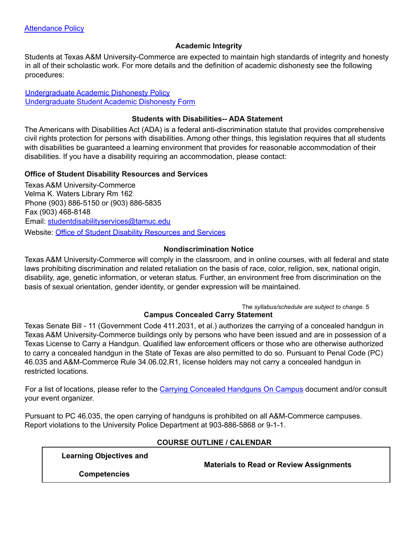## **Academic Integrity**

Students at Texas A&M University-Commerce are expected to maintain high standards of integrity and honesty in all of their scholastic work. For more details and the definition of academic dishonesty see the following procedures:

Undergraduate Academic Dishonesty Policy Undergraduate Student Academic Dishonesty Form

#### **Students with Disabilities-- ADA Statement**

The Americans with Disabilities Act (ADA) is a federal anti-discrimination statute that provides comprehensive civil rights protection for persons with disabilities. Among other things, this legislation requires that all students with disabilities be guaranteed a learning environment that provides for reasonable accommodation of their disabilities. If you have a disability requiring an accommodation, please contact:

### **Office of Student Disability Resources and Services**

Texas A&M University-Commerce Velma K. Waters Library Rm 162 Phone (903) 886-5150 or (903) 886-5835 Fax (903) 468-8148 Email: studentdisabilityservices@tamuc.edu Website: Office of Student Disability Resources and Services

### **Nondiscrimination Notice**

Texas A&M University-Commerce will comply in the classroom, and in online courses, with all federal and state laws prohibiting discrimination and related retaliation on the basis of race, color, religion, sex, national origin, disability, age, genetic information, or veteran status. Further, an environment free from discrimination on the basis of sexual orientation, gender identity, or gender expression will be maintained.

The *syllabus/schedule are subject to change.* 5

### **Campus Concealed Carry Statement**

Texas Senate Bill - 11 (Government Code 411.2031, et al.) authorizes the carrying of a concealed handgun in Texas A&M University-Commerce buildings only by persons who have been issued and are in possession of a Texas License to Carry a Handgun. Qualified law enforcement officers or those who are otherwise authorized to carry a concealed handgun in the State of Texas are also permitted to do so. Pursuant to Penal Code (PC) 46.035 and A&M-Commerce Rule 34.06.02.R1, license holders may not carry a concealed handgun in restricted locations.

For a list of locations, please refer to the Carrying Concealed Handguns On Campus document and/or consult your event organizer.

Pursuant to PC 46.035, the open carrying of handguns is prohibited on all A&M-Commerce campuses. Report violations to the University Police Department at 903-886-5868 or 9-1-1.

### **COURSE OUTLINE / CALENDAR**

**Learning Objectives and**

**Materials to Read or Review Assignments**

**Competencies**